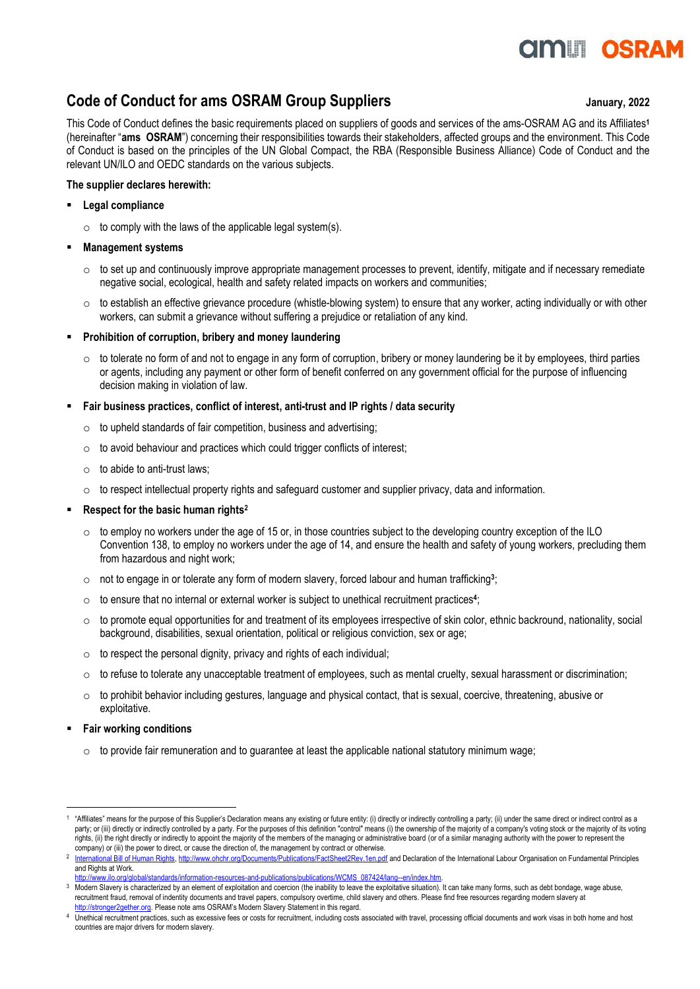# **OMLI OSRA**

### **Code of Conduct for ams OSRAM Group Suppliers January, 2022**

This Code of Conduct defines the basic requirements placed on suppliers of goods and services of the ams-OSRAM AG and its Affiliates**<sup>1</sup>** (hereinafter "**ams OSRAM**") concerning their responsibilities towards their stakeholders, affected groups and the environment. This Code of Conduct is based on the principles of the UN Global Compact, the RBA (Responsible Business Alliance) Code of Conduct and the relevant UN/ILO and OEDC standards on the various subjects.

#### **The supplier declares herewith:**

- **Legal compliance**
	- $\circ$  to comply with the laws of the applicable legal system(s).

#### **Management** systems

- $\circ$  to set up and continuously improve appropriate management processes to prevent, identify, mitigate and if necessary remediate negative social, ecological, health and safety related impacts on workers and communities;
- $\circ$  to establish an effective grievance procedure (whistle-blowing system) to ensure that any worker, acting individually or with other workers, can submit a grievance without suffering a prejudice or retaliation of any kind.
- **Prohibition of corruption, bribery and money laundering** 
	- $\circ$  to tolerate no form of and not to engage in any form of corruption, bribery or money laundering be it by employees, third parties or agents, including any payment or other form of benefit conferred on any government official for the purpose of influencing decision making in violation of law.
- **Fair business practices, conflict of interest, anti-trust and IP rights / data security**
	- $\circ$  to upheld standards of fair competition, business and advertising;
	- $\circ$  to avoid behaviour and practices which could trigger conflicts of interest;
	- $\circ$  to abide to anti-trust laws;
	- $\circ$  to respect intellectual property rights and safeguard customer and supplier privacy, data and information.

### ▪ **Respect for the basic human rights<sup>2</sup>**

- $\circ$  to employ no workers under the age of 15 or, in those countries subject to the developing country exception of the ILO Convention 138, to employ no workers under the age of 14, and ensure the health and safety of young workers, precluding them from hazardous and night work;
- $\circ$  not to engage in or tolerate any form of modern slavery, forced labour and human trafficking<sup>3</sup>;
- o to ensure that no internal or external worker is subject to unethical recruitment practices**<sup>4</sup>** ;
- $\circ$  to promote equal opportunities for and treatment of its employees irrespective of skin color, ethnic backround, nationality, social background, disabilities, sexual orientation, political or religious conviction, sex or age;
- $\circ$  to respect the personal dignity, privacy and rights of each individual;
- $\circ$  to refuse to tolerate any unacceptable treatment of employees, such as mental cruelty, sexual harassment or discrimination;
- $\circ$  to prohibit behavior including gestures, language and physical contact, that is sexual, coercive, threatening, abusive or exploitative.
- **Fair working conditions** 
	- $\circ$  to provide fair remuneration and to guarantee at least the applicable national statutory minimum wage;

<sup>1</sup> "Affiliates" means for the purpose of this Supplier's Declaration means any existing or future entity: (i) directly or indirectly controlling a party; (ii) under the same direct or indirect control as a party; or (iii) directly or indirectly controlled by a party. For the purposes of this definition "control" means (i) the ownership of the majority of a company's voting stock or the majority of its voting rights, (ii) the right directly or indirectly to appoint the majority of the members of the managing or administrative board (or of a similar managing authority with the power to represent the company) or (iii) the power to direct, or cause the direction of, the management by contract or otherwise.

<sup>2</sup> [International Bill of Human Rights, http://www.ohchr.org/Documents/Publications/FactSheet2Rev.1en.pdf](http://www.ohchr.org/Documents/Publications/FactSheet2Rev.1en.pdf) and Declaration of the International Labour Organisation on Fundamental Principles and Rights at Work.

[http://www.ilo.org/global/standards/information-resources-and-publications/publications/WCMS\\_087424/lang--en/index.htm.](http://www.ilo.org/global/standards/information-resources-and-publications/publications/WCMS_087424/lang--en/index.htm) 

<sup>&</sup>lt;sup>3</sup> Modern Slavery is characterized by an element of exploitation and coercion (the inability to leave the exploitative situation). It can take many forms, such as debt bondage, wage abuse, recruitment fraud, removal of indentity documents and travel papers, compulsory overtime, child slavery and others. Please find free resources regarding modern slavery at [http://stronger2gether.org.](http://stronger2gether.org/) Please note ams OSRAM's Modern Slavery Statement in this regard.

<sup>4</sup> Unethical recruitment practices, such as excessive fees or costs for recruitment, including costs associated with travel, processing official documents and work visas in both home and host countries are major drivers for modern slavery.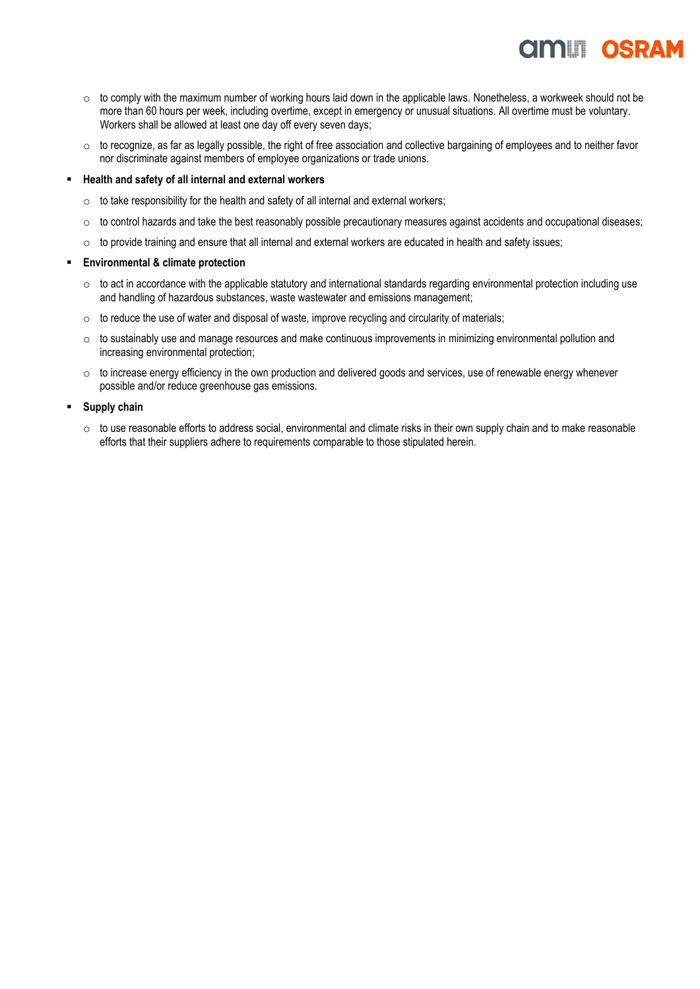## **AMILI OSRA**

- $\circ$  to comply with the maximum number of working hours laid down in the applicable laws. Nonetheless, a workweek should not be more than 60 hours per week, including overtime, except in emergency or unusual situations. All overtime must be voluntary. Workers shall be allowed at least one day off every seven days;
- o to recognize, as far as legally possible, the right of free association and collective bargaining of employees and to neither favor nor discriminate against members of employee organizations or trade unions.

#### ▪ **Health and safety of all internal and external workers**

- $\circ$  to take responsibility for the health and safety of all internal and external workers;
- o to control hazards and take the best reasonably possible precautionary measures against accidents and occupational diseases;
- $\circ$  to provide training and ensure that all internal and external workers are educated in health and safety issues;

#### ▪ **Environmental & climate protection**

- $\circ$  to act in accordance with the applicable statutory and international standards regarding environmental protection including use and handling of hazardous substances, waste wastewater and emissions management;
- $\circ$  to reduce the use of water and disposal of waste, improve recycling and circularity of materials;
- $\circ$  to sustainably use and manage resources and make continuous improvements in minimizing environmental pollution and increasing environmental protection;
- $\circ$  to increase energy efficiency in the own production and delivered goods and services, use of renewable energy whenever possible and/or reduce greenhouse gas emissions.
- **Supply chain** 
	- $\circ$  to use reasonable efforts to address social, environmental and climate risks in their own supply chain and to make reasonable efforts that their suppliers adhere to requirements comparable to those stipulated herein.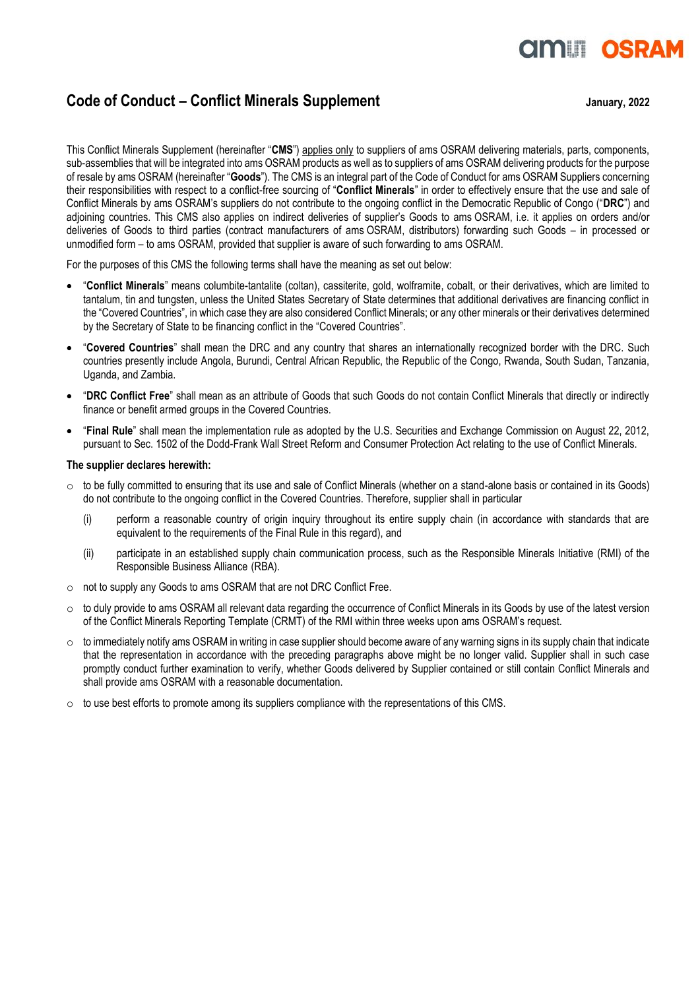# **OMLI OSRA**

### **Code of Conduct – Conflict Minerals Supplement Code 3 anuary, 2022**

This Conflict Minerals Supplement (hereinafter "**CMS**") applies only to suppliers of ams OSRAM delivering materials, parts, components, sub-assemblies that will be integrated into ams OSRAM products as well as to suppliers of ams OSRAM delivering products for the purpose of resale by ams OSRAM (hereinafter "**Goods**"). The CMS is an integral part of the Code of Conduct for ams OSRAM Suppliers concerning their responsibilities with respect to a conflict-free sourcing of "**Conflict Minerals**" in order to effectively ensure that the use and sale of Conflict Minerals by ams OSRAM's suppliers do not contribute to the ongoing conflict in the Democratic Republic of Congo ("**DRC**") and adjoining countries. This CMS also applies on indirect deliveries of supplier's Goods to ams OSRAM, i.e. it applies on orders and/or deliveries of Goods to third parties (contract manufacturers of ams OSRAM, distributors) forwarding such Goods – in processed or unmodified form – to ams OSRAM, provided that supplier is aware of such forwarding to ams OSRAM.

For the purposes of this CMS the following terms shall have the meaning as set out below:

- "**Conflict Minerals**" means columbite-tantalite (coltan), cassiterite, gold, wolframite, cobalt, or their derivatives, which are limited to tantalum, tin and tungsten, unless the United States Secretary of State determines that additional derivatives are financing conflict in the "Covered Countries", in which case they are also considered Conflict Minerals; or any other minerals or their derivatives determined by the Secretary of State to be financing conflict in the "Covered Countries".
- "**Covered Countries**" shall mean the DRC and any country that shares an internationally recognized border with the DRC. Such countries presently include Angola, Burundi, Central African Republic, the Republic of the Congo, Rwanda, South Sudan, Tanzania, Uganda, and Zambia.
- "**DRC Conflict Free**" shall mean as an attribute of Goods that such Goods do not contain Conflict Minerals that directly or indirectly finance or benefit armed groups in the Covered Countries.
- "**Final Rule**" shall mean the implementation rule as adopted by the U.S. Securities and Exchange Commission on August 22, 2012, pursuant to Sec. 1502 of the Dodd-Frank Wall Street Reform and Consumer Protection Act relating to the use of Conflict Minerals.

#### **The supplier declares herewith:**

- $\circ$  to be fully committed to ensuring that its use and sale of Conflict Minerals (whether on a stand-alone basis or contained in its Goods) do not contribute to the ongoing conflict in the Covered Countries. Therefore, supplier shall in particular
	- (i) perform a reasonable country of origin inquiry throughout its entire supply chain (in accordance with standards that are equivalent to the requirements of the Final Rule in this regard), and
	- (ii) participate in an established supply chain communication process, such as the Responsible Minerals Initiative (RMI) of the Responsible Business Alliance (RBA).
- o not to supply any Goods to ams OSRAM that are not DRC Conflict Free.
- $\circ$  to duly provide to ams OSRAM all relevant data regarding the occurrence of Conflict Minerals in its Goods by use of the latest version of the Conflict Minerals Reporting Template (CRMT) of the RMI within three weeks upon ams OSRAM's request.
- $\circ$  to immediately notify ams OSRAM in writing in case supplier should become aware of any warning signs in its supply chain that indicate that the representation in accordance with the preceding paragraphs above might be no longer valid. Supplier shall in such case promptly conduct further examination to verify, whether Goods delivered by Supplier contained or still contain Conflict Minerals and shall provide ams OSRAM with a reasonable documentation.
- $\circ$  to use best efforts to promote among its suppliers compliance with the representations of this CMS.